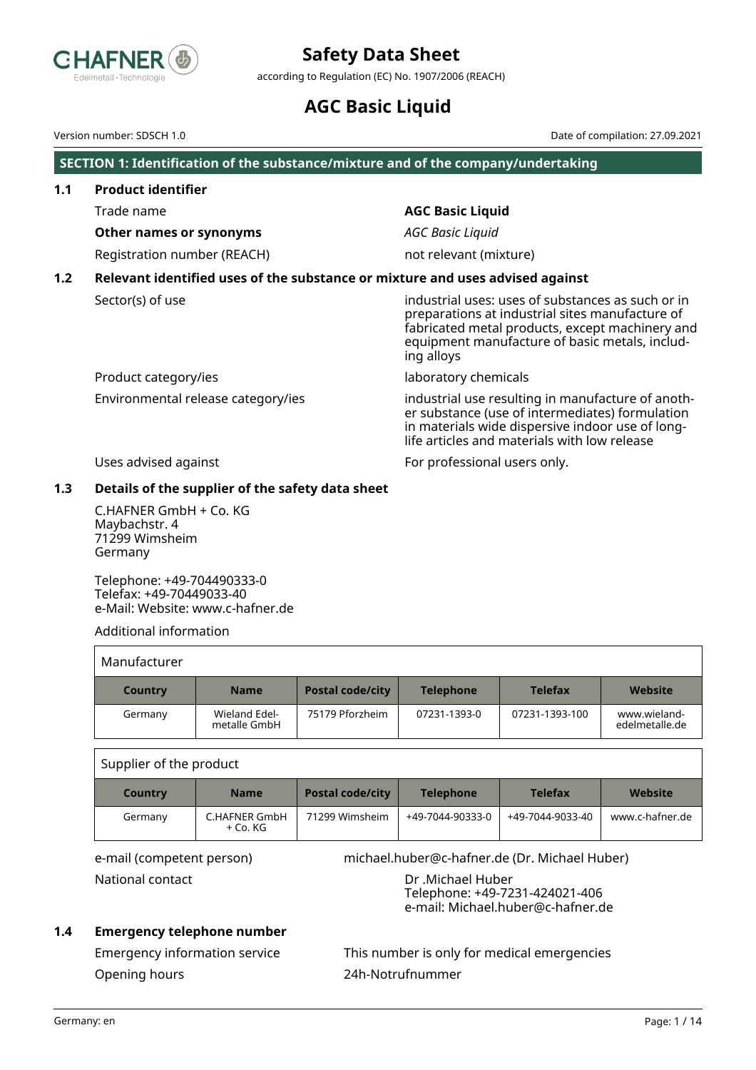

according to Regulation (EC) No. 1907/2006 (REACH)

# **AGC Basic Liquid**

#### Version number: SDSCH 1.0 Date of compilation: 27.09.2021

#### **SECTION 1: Identification of the substance/mixture and of the company/undertaking**

| 1.1 | <b>Product identifier</b>   |                         |
|-----|-----------------------------|-------------------------|
|     | Trade name                  | <b>AGC Basic Liquid</b> |
|     | Other names or synonyms     | <b>AGC Basic Liquid</b> |
|     | Registration number (REACH) | not relevant (mixture)  |

### **1.2 Relevant identified uses of the substance or mixture and uses advised against**

Sector(s) of use industrial uses: uses of substances as such or in preparations at industrial sites manufacture of fabricated metal products, except machinery and equipment manufacture of basic metals, including alloys

Product category/ies laboratory chemicals

Environmental release category/ies industrial use resulting in manufacture of another substance (use of intermediates) formulation in materials wide dispersive indoor use of longlife articles and materials with low release

Uses advised against **For professional users only.** For professional users only.

### **1.3 Details of the supplier of the safety data sheet**

C.HAFNER GmbH + Co. KG Maybachstr. 4 71299 Wimsheim Germany

Telephone: +49-704490333-0 Telefax: +49-70449033-40 e-Mail: Website: www.c-hafner.de

Additional information

| Manufacturer |                               |                         |                  |                |                                |
|--------------|-------------------------------|-------------------------|------------------|----------------|--------------------------------|
| Country      | <b>Name</b>                   | <b>Postal code/city</b> | <b>Telephone</b> | <b>Telefax</b> | Website                        |
| Germany      | Wieland Edel-<br>metalle GmbH | 75179 Pforzheim         | 07231-1393-0     | 07231-1393-100 | www.wieland-<br>edelmetalle.de |

Supplier of the product

| Country | <b>Name</b>                      | <b>Postal code/city</b> | <b>Telephone</b> | <b>Telefax</b>   | Website         |
|---------|----------------------------------|-------------------------|------------------|------------------|-----------------|
| Germany | <b>C.HAFNER GmbH</b><br>+ Co. KG | 71299 Wimsheim          | +49-7044-90333-0 | +49-7044-9033-40 | www.c-hafner.de |

e-mail (competent person) michael.huber@c-hafner.de (Dr. Michael Huber)

National contact **National contact** Dr .Michael Huber Telephone: +49-7231-424021-406 e-mail: Michael.huber@c-hafner.de

### **1.4 Emergency telephone number**

Opening hours 24h-Notrufnummer

Emergency information service This number is only for medical emergencies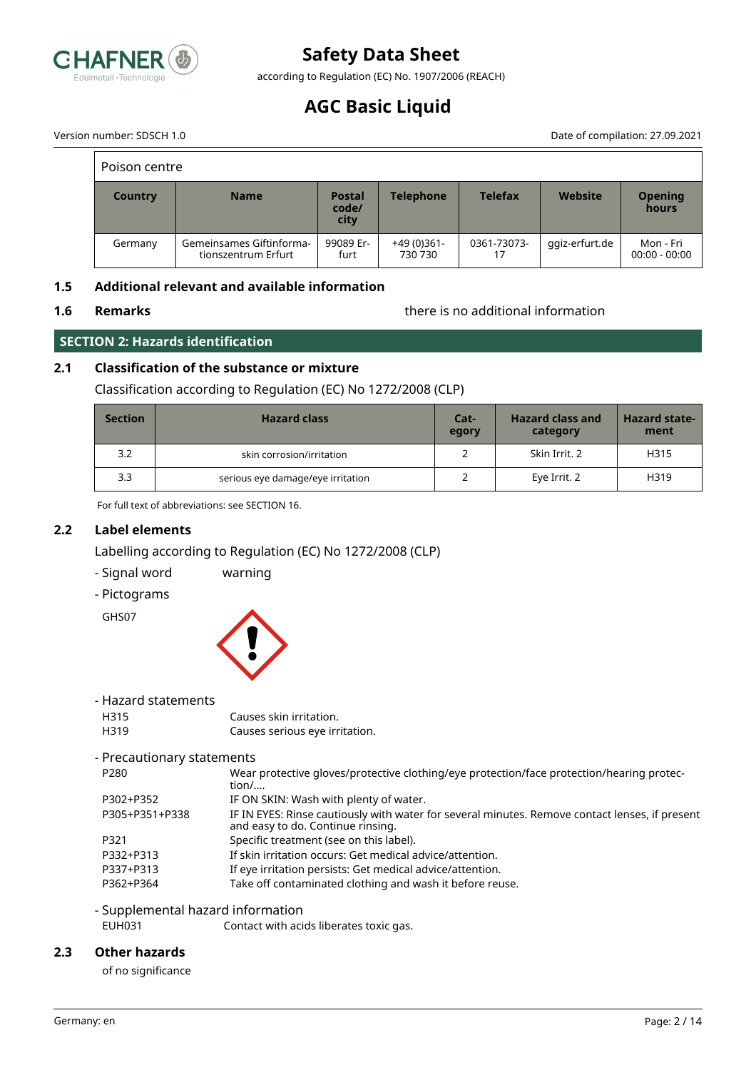

according to Regulation (EC) No. 1907/2006 (REACH)

# **AGC Basic Liquid**

Version number: SDSCH 1.0 Date of compilation: 27.09.2021  $\overline{\phantom{a}}$ 

| Poison centre  |                                                 |                                |                        |                   |                |                              |
|----------------|-------------------------------------------------|--------------------------------|------------------------|-------------------|----------------|------------------------------|
| <b>Country</b> | <b>Name</b>                                     | <b>Postal</b><br>code/<br>city | <b>Telephone</b>       | <b>Telefax</b>    | Website        | <b>Opening</b><br>hours      |
| Germany        | Gemeinsames Giftinforma-<br>tionszentrum Erfurt | 99089 Er-<br>furt              | +49 (0)361-<br>730 730 | 0361-73073-<br>17 | qqiz-erfurt.de | Mon - Fri<br>$00:00 - 00:00$ |

### **1.5 Additional relevant and available information**

**1.6 Remarks** there is no additional information

### **SECTION 2: Hazards identification**

### **2.1 Classification of the substance or mixture**

Classification according to Regulation (EC) No 1272/2008 (CLP)

| <b>Section</b> | <b>Hazard class</b>               | Cat-<br>egory | <b>Hazard class and</b><br>category | <b>Hazard state-</b><br>ment |
|----------------|-----------------------------------|---------------|-------------------------------------|------------------------------|
| 3.2            | skin corrosion/irritation         |               | Skin Irrit. 2                       | H315                         |
| 3.3            | serious eye damage/eye irritation |               | Eye Irrit. 2                        | H319                         |

For full text of abbreviations: see SECTION 16.

### **2.2 Label elements**

Labelling according to Regulation (EC) No 1272/2008 (CLP)

- Signal word warning
- Pictograms

GHS07



#### - Hazard statements

| - Hazard statements        |                                                                                                                                     |
|----------------------------|-------------------------------------------------------------------------------------------------------------------------------------|
| H315                       | Causes skin irritation.                                                                                                             |
| H319                       | Causes serious eye irritation.                                                                                                      |
| - Precautionary statements |                                                                                                                                     |
| P <sub>280</sub>           | Wear protective gloves/protective clothing/eye protection/face protection/hearing protec-<br>tion/                                  |
| P302+P352                  | IF ON SKIN: Wash with plenty of water.                                                                                              |
| P305+P351+P338             | IF IN EYES: Rinse cautiously with water for several minutes. Remove contact lenses, if present<br>and easy to do. Continue rinsing. |
| P321                       | Specific treatment (see on this label).                                                                                             |
| P332+P313                  | If skin irritation occurs: Get medical advice/attention.                                                                            |
| P337+P313                  | If eye irritation persists: Get medical advice/attention.                                                                           |
|                            |                                                                                                                                     |

P362+P364 Take off contaminated clothing and wash it before reuse.

### - Supplemental hazard information

EUH031 Contact with acids liberates toxic gas.

### **2.3 Other hazards**

of no significance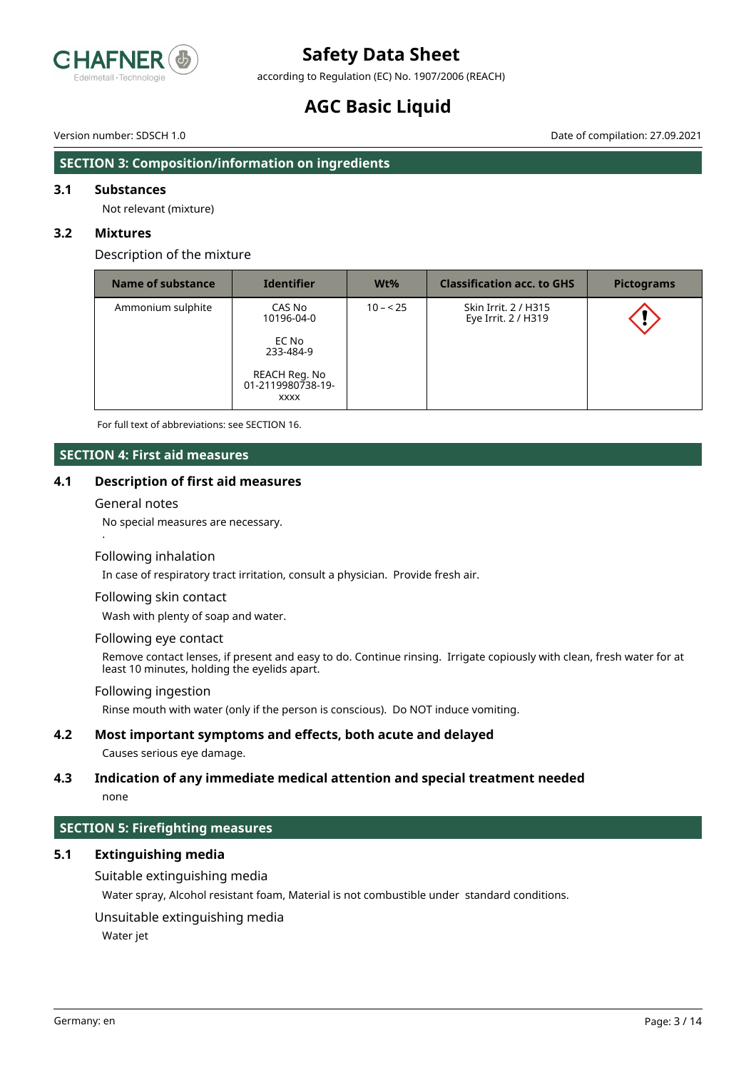

according to Regulation (EC) No. 1907/2006 (REACH)

# **AGC Basic Liquid**

Version number: SDSCH 1.0 Date of compilation: 27.09.2021

#### **SECTION 3: Composition/information on ingredients**

#### **3.1 Substances**

Not relevant (mixture)

#### **3.2 Mixtures**

Description of the mixture

| Name of substance | <b>Identifier</b>                                                                               | $Wt\%$    | <b>Classification acc. to GHS</b>           | <b>Pictograms</b> |
|-------------------|-------------------------------------------------------------------------------------------------|-----------|---------------------------------------------|-------------------|
| Ammonium sulphite | CAS No<br>10196-04-0<br>EC No<br>233-484-9<br>REACH Reg. No<br>01-2119980738-19-<br><b>XXXX</b> | $10 - 25$ | Skin Irrit. 2 / H315<br>Eye Irrit. 2 / H319 |                   |

For full text of abbreviations: see SECTION 16.

#### **SECTION 4: First aid measures**

#### **4.1 Description of first aid measures**

#### General notes

.

No special measures are necessary.

#### Following inhalation

In case of respiratory tract irritation, consult a physician. Provide fresh air.

#### Following skin contact

Wash with plenty of soap and water.

#### Following eye contact

Remove contact lenses, if present and easy to do. Continue rinsing. Irrigate copiously with clean, fresh water for at least 10 minutes, holding the eyelids apart.

#### Following ingestion

Rinse mouth with water (only if the person is conscious). Do NOT induce vomiting.

#### **4.2 Most important symptoms and effects, both acute and delayed**

Causes serious eye damage.

### **4.3 Indication of any immediate medical attention and special treatment needed**

none

### **SECTION 5: Firefighting measures**

#### **5.1 Extinguishing media**

Suitable extinguishing media

Water spray, Alcohol resistant foam, Material is not combustible under standard conditions.

#### Unsuitable extinguishing media

Water jet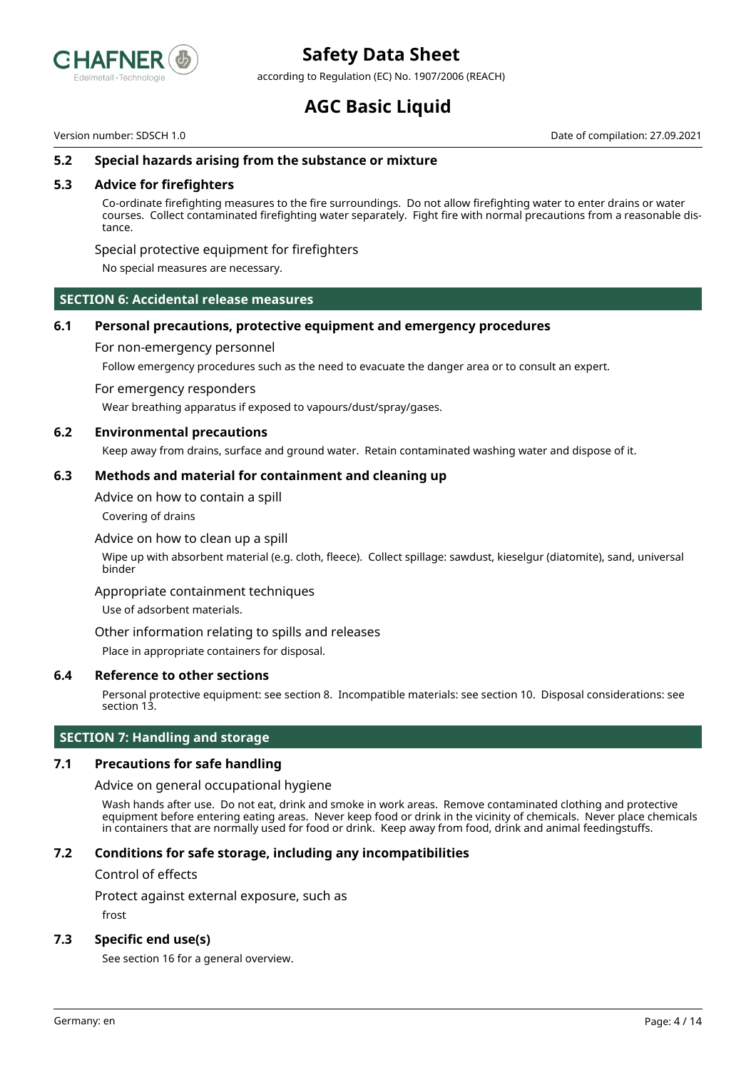

according to Regulation (EC) No. 1907/2006 (REACH)

# **AGC Basic Liquid**

Version number: SDSCH 1.0 Date of compilation: 27.09.2021

#### **5.2 Special hazards arising from the substance or mixture**

#### **5.3 Advice for firefighters**

Co-ordinate firefighting measures to the fire surroundings. Do not allow firefighting water to enter drains or water courses. Collect contaminated firefighting water separately. Fight fire with normal precautions from a reasonable distance.

#### Special protective equipment for firefighters

No special measures are necessary.

#### **SECTION 6: Accidental release measures**

#### **6.1 Personal precautions, protective equipment and emergency procedures**

#### For non-emergency personnel

Follow emergency procedures such as the need to evacuate the danger area or to consult an expert.

For emergency responders

Wear breathing apparatus if exposed to vapours/dust/spray/gases.

#### **6.2 Environmental precautions**

Keep away from drains, surface and ground water. Retain contaminated washing water and dispose of it.

#### **6.3 Methods and material for containment and cleaning up**

Advice on how to contain a spill

Covering of drains

#### Advice on how to clean up a spill

Wipe up with absorbent material (e.g. cloth, fleece). Collect spillage: sawdust, kieselgur (diatomite), sand, universal binder

#### Appropriate containment techniques

Use of adsorbent materials.

#### Other information relating to spills and releases

Place in appropriate containers for disposal.

#### **6.4 Reference to other sections**

Personal protective equipment: see section 8. Incompatible materials: see section 10. Disposal considerations: see section 13.

#### **SECTION 7: Handling and storage**

#### **7.1 Precautions for safe handling**

#### Advice on general occupational hygiene

Wash hands after use. Do not eat, drink and smoke in work areas. Remove contaminated clothing and protective equipment before entering eating areas. Never keep food or drink in the vicinity of chemicals. Never place chemicals in containers that are normally used for food or drink. Keep away from food, drink and animal feedingstuffs.

#### **7.2 Conditions for safe storage, including any incompatibilities**

Control of effects

Protect against external exposure, such as

frost

#### **7.3 Specific end use(s)**

See section 16 for a general overview.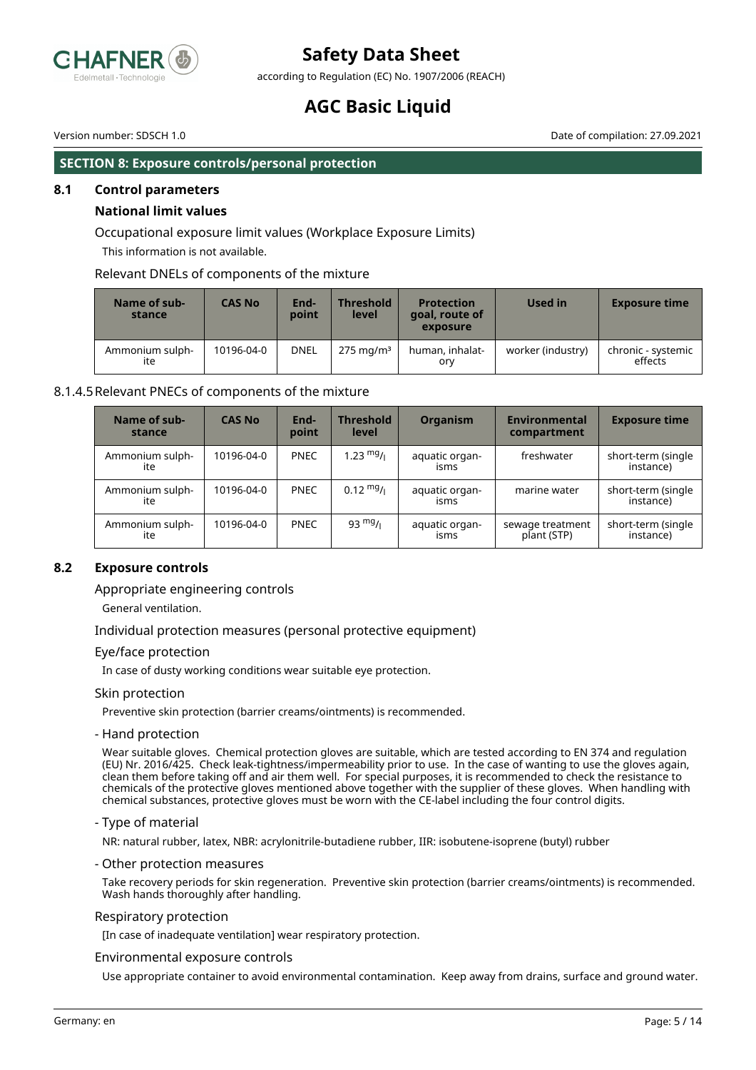

according to Regulation (EC) No. 1907/2006 (REACH)

# **AGC Basic Liquid**

Version number: SDSCH 1.0 Date of compilation: 27.09.2021

#### **SECTION 8: Exposure controls/personal protection**

#### **8.1 Control parameters**

#### **National limit values**

Occupational exposure limit values (Workplace Exposure Limits)

This information is not available.

#### Relevant DNELs of components of the mixture

| Name of sub-<br>stance | <b>CAS No</b> | End-<br>point | <b>Threshold</b><br>level | <b>Protection</b><br>goal, route of<br>exposure | Used in           | <b>Exposure time</b>          |
|------------------------|---------------|---------------|---------------------------|-------------------------------------------------|-------------------|-------------------------------|
| Ammonium sulph-<br>ite | 10196-04-0    | <b>DNEL</b>   | $275 \,\mathrm{mg/m^3}$   | human, inhalat-<br>ory                          | worker (industry) | chronic - systemic<br>effects |

#### 8.1.4.5Relevant PNECs of components of the mixture

| Name of sub-<br>stance | <b>CAS No</b> | End-<br>point | <b>Threshold</b><br>level | <b>Organism</b>        | Environmental<br>compartment    | <b>Exposure time</b>            |
|------------------------|---------------|---------------|---------------------------|------------------------|---------------------------------|---------------------------------|
| Ammonium sulph-<br>ite | 10196-04-0    | <b>PNEC</b>   | $1.23 \frac{mg}{l}$       | aquatic organ-<br>isms | freshwater                      | short-term (single<br>instance) |
| Ammonium sulph-<br>ite | 10196-04-0    | <b>PNEC</b>   | $0.12 \text{ mg}$ /       | aquatic organ-<br>isms | marine water                    | short-term (single<br>instance) |
| Ammonium sulph-<br>ite | 10196-04-0    | <b>PNEC</b>   | $93 \frac{mg}{l}$         | aquatic organ-<br>isms | sewage treatment<br>plant (STP) | short-term (single<br>instance) |

### **8.2 Exposure controls**

#### Appropriate engineering controls

General ventilation.

Individual protection measures (personal protective equipment)

#### Eye/face protection

In case of dusty working conditions wear suitable eye protection.

#### Skin protection

Preventive skin protection (barrier creams/ointments) is recommended.

- Hand protection

Wear suitable gloves. Chemical protection gloves are suitable, which are tested according to EN 374 and regulation (EU) Nr. 2016/425. Check leak-tightness/impermeability prior to use. In the case of wanting to use the gloves again, clean them before taking off and air them well. For special purposes, it is recommended to check the resistance to chemicals of the protective gloves mentioned above together with the supplier of these gloves. When handling with chemical substances, protective gloves must be worn with the CE-label including the four control digits.

#### - Type of material

NR: natural rubber, latex, NBR: acrylonitrile-butadiene rubber, IIR: isobutene-isoprene (butyl) rubber

#### - Other protection measures

Take recovery periods for skin regeneration. Preventive skin protection (barrier creams/ointments) is recommended. Wash hands thoroughly after handling.

#### Respiratory protection

[In case of inadequate ventilation] wear respiratory protection.

#### Environmental exposure controls

Use appropriate container to avoid environmental contamination. Keep away from drains, surface and ground water.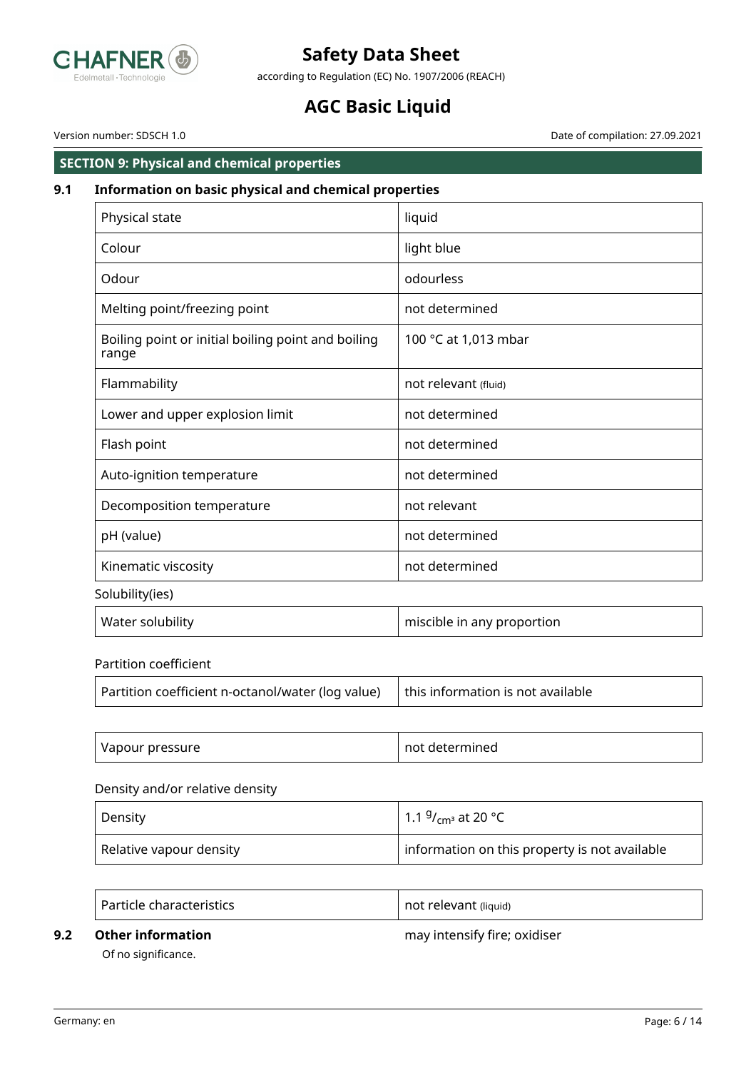

according to Regulation (EC) No. 1907/2006 (REACH)

# **AGC Basic Liquid**

Version number: SDSCH 1.0 Date of compilation: 27.09.2021

# **SECTION 9: Physical and chemical properties**

### **9.1 Information on basic physical and chemical properties**

| Physical state                                              | liquid                     |
|-------------------------------------------------------------|----------------------------|
| Colour                                                      | light blue                 |
| Odour                                                       | odourless                  |
| Melting point/freezing point                                | not determined             |
| Boiling point or initial boiling point and boiling<br>range | 100 °C at 1,013 mbar       |
| Flammability                                                | not relevant (fluid)       |
| Lower and upper explosion limit                             | not determined             |
| Flash point                                                 | not determined             |
| Auto-ignition temperature                                   | not determined             |
| Decomposition temperature                                   | not relevant               |
| pH (value)                                                  | not determined             |
| Kinematic viscosity                                         | not determined             |
| Solubility(ies)                                             |                            |
| Water solubility                                            | miscible in any proportion |

Partition coefficient

| Partition coefficient n-octanol/water (log value) $\Box$ this information is not available |  |
|--------------------------------------------------------------------------------------------|--|
|                                                                                            |  |

| not determined<br>Vapour pressure |  |
|-----------------------------------|--|
|-----------------------------------|--|

#### Density and/or relative density

| Density                 | $\mid$ 1.1 $^{9}$ / $_{\rm cm^3}$ at 20 °C $\mid$ |
|-------------------------|---------------------------------------------------|
| Relative vapour density | information on this property is not available     |

|  | Particle characteristics | not relevant (liquid) |
|--|--------------------------|-----------------------|
|--|--------------------------|-----------------------|

### **9.2 Other information may intensify fire; oxidiser**

Of no significance.

 $\Gamma$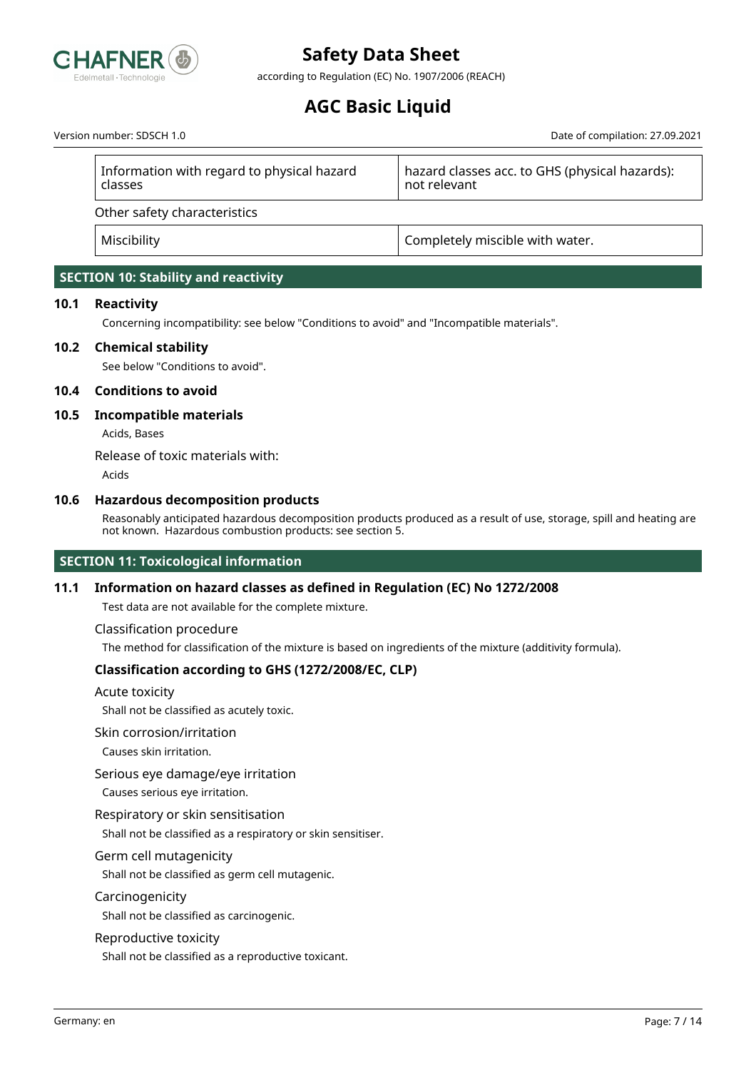

according to Regulation (EC) No. 1907/2006 (REACH)

# **AGC Basic Liquid**

Version number: SDSCH 1.0 Date of compilation: 27.09.2021

| Information with regard to physical hazard<br>classes | hazard classes acc. to GHS (physical hazards):<br>not relevant |
|-------------------------------------------------------|----------------------------------------------------------------|
| Other safety characteristics                          |                                                                |
| Miscibility                                           | Completely miscible with water.                                |
|                                                       |                                                                |

### **SECTION 10: Stability and reactivity**

#### **10.1 Reactivity**

Concerning incompatibility: see below "Conditions to avoid" and "Incompatible materials".

#### **10.2 Chemical stability**

See below "Conditions to avoid".

#### **10.4 Conditions to avoid**

#### **10.5 Incompatible materials**

Acids, Bases

Release of toxic materials with:

Acids

#### **10.6 Hazardous decomposition products**

Reasonably anticipated hazardous decomposition products produced as a result of use, storage, spill and heating are not known. Hazardous combustion products: see section 5.

### **SECTION 11: Toxicological information**

### **11.1 Information on hazard classes as defined in Regulation (EC) No 1272/2008**

Test data are not available for the complete mixture.

#### Classification procedure

The method for classification of the mixture is based on ingredients of the mixture (additivity formula).

### **Classification according to GHS (1272/2008/EC, CLP)**

Acute toxicity

Shall not be classified as acutely toxic.

Skin corrosion/irritation

Causes skin irritation.

#### Serious eye damage/eye irritation

Causes serious eye irritation.

#### Respiratory or skin sensitisation

Shall not be classified as a respiratory or skin sensitiser.

#### Germ cell mutagenicity

Shall not be classified as germ cell mutagenic.

#### Carcinogenicity

Shall not be classified as carcinogenic.

#### Reproductive toxicity

Shall not be classified as a reproductive toxicant.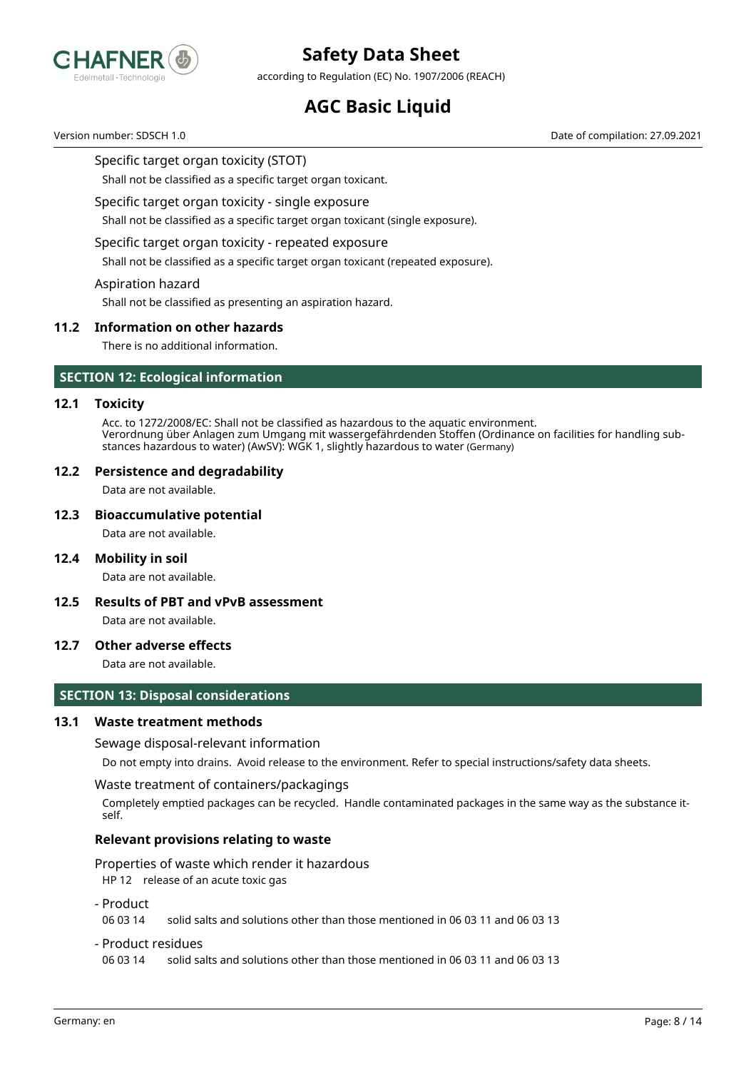

according to Regulation (EC) No. 1907/2006 (REACH)

# **AGC Basic Liquid**

Version number: SDSCH 1.0 Date of compilation: 27.09.2021

#### Specific target organ toxicity (STOT)

Shall not be classified as a specific target organ toxicant.

Specific target organ toxicity - single exposure

Shall not be classified as a specific target organ toxicant (single exposure).

#### Specific target organ toxicity - repeated exposure

Shall not be classified as a specific target organ toxicant (repeated exposure).

Aspiration hazard

Shall not be classified as presenting an aspiration hazard.

#### **11.2 Information on other hazards**

There is no additional information.

#### **SECTION 12: Ecological information**

#### **12.1 Toxicity**

Acc. to 1272/2008/EC: Shall not be classified as hazardous to the aquatic environment. Verordnung über Anlagen zum Umgang mit wassergefährdenden Stoffen (Ordinance on facilities for handling substances hazardous to water) (AwSV): WGK 1, slightly hazardous to water (Germany)

#### **12.2 Persistence and degradability**

Data are not available.

#### **12.3 Bioaccumulative potential**

Data are not available.

#### **12.4 Mobility in soil**

Data are not available.

# **12.5 Results of PBT and vPvB assessment**

Data are not available.

#### **12.7 Other adverse effects**

Data are not available.

#### **SECTION 13: Disposal considerations**

#### **13.1 Waste treatment methods**

Sewage disposal-relevant information

Do not empty into drains. Avoid release to the environment. Refer to special instructions/safety data sheets.

Waste treatment of containers/packagings

Completely emptied packages can be recycled. Handle contaminated packages in the same way as the substance itself.

#### **Relevant provisions relating to waste**

Properties of waste which render it hazardous

HP 12 release of an acute toxic gas

#### - Product

06 03 14 solid salts and solutions other than those mentioned in 06 03 11 and 06 03 13

#### - Product residues

06 03 14 solid salts and solutions other than those mentioned in 06 03 11 and 06 03 13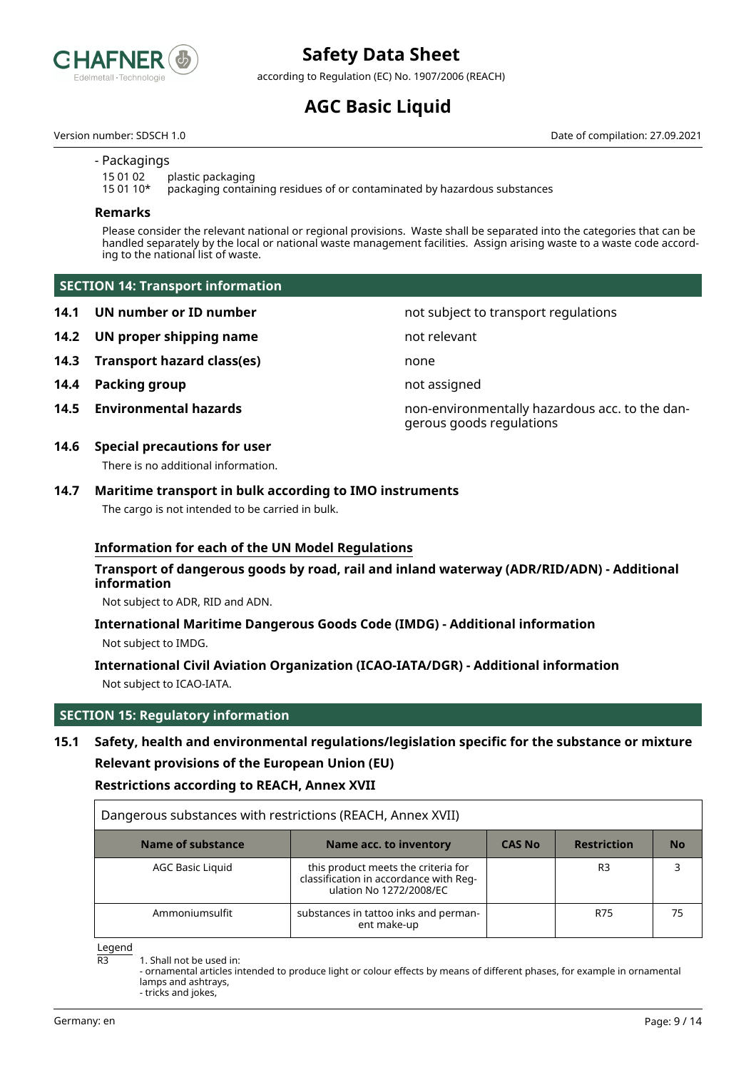

according to Regulation (EC) No. 1907/2006 (REACH)

# **AGC Basic Liquid**

Version number: SDSCH 1.0 Date of compilation: 27.09.2021

#### - Packagings

15 01 02 plastic packaging<br>15 01 10\* packaging contai

packaging containing residues of or contaminated by hazardous substances

#### **Remarks**

Please consider the relevant national or regional provisions. Waste shall be separated into the categories that can be handled separately by the local or national waste management facilities. Assign arising waste to a waste code according to the national list of waste.

gerous goods regulations

#### **SECTION 14: Transport information**

- **14.1 UN number or ID number not subject to transport regulations**
- **14.2 UN proper shipping name** not relevant
- **14.3 Transport hazard class(es)** none
- **14.4 Packing group not assigned**
- **14.5 Environmental hazards** non-environmentally hazardous acc. to the dan-
- **14.6 Special precautions for user**

There is no additional information.

### **14.7 Maritime transport in bulk according to IMO instruments**

The cargo is not intended to be carried in bulk.

### **Information for each of the UN Model Regulations**

### **Transport of dangerous goods by road, rail and inland waterway (ADR/RID/ADN) - Additional information**

Not subject to ADR, RID and ADN.

### **International Maritime Dangerous Goods Code (IMDG) - Additional information** Not subject to IMDG.

### **International Civil Aviation Organization (ICAO-IATA/DGR) - Additional information** Not subject to ICAO-IATA.

#### **SECTION 15: Regulatory information**

### **15.1 Safety, health and environmental regulations/legislation specific for the substance or mixture Relevant provisions of the European Union (EU)**

### **Restrictions according to REACH, Annex XVII**

| Dangerous substances with restrictions (REACH, Annex XVII) |                                                                                                          |               |                    |           |
|------------------------------------------------------------|----------------------------------------------------------------------------------------------------------|---------------|--------------------|-----------|
| <b>Name of substance</b>                                   | Name acc. to inventory                                                                                   | <b>CAS No</b> | <b>Restriction</b> | <b>No</b> |
| <b>AGC Basic Liquid</b>                                    | this product meets the criteria for<br>classification in accordance with Reg-<br>ulation No 1272/2008/EC |               | R <sub>3</sub>     |           |
| Ammoniumsulfit                                             | substances in tattoo inks and perman-<br>ent make-up                                                     |               | R75                | 75        |

Legend

 $R<sup>3</sup>$  1. Shall not be used in:

- ornamental articles intended to produce light or colour effects by means of different phases, for example in ornamental lamps and ashtrays, - tricks and jokes,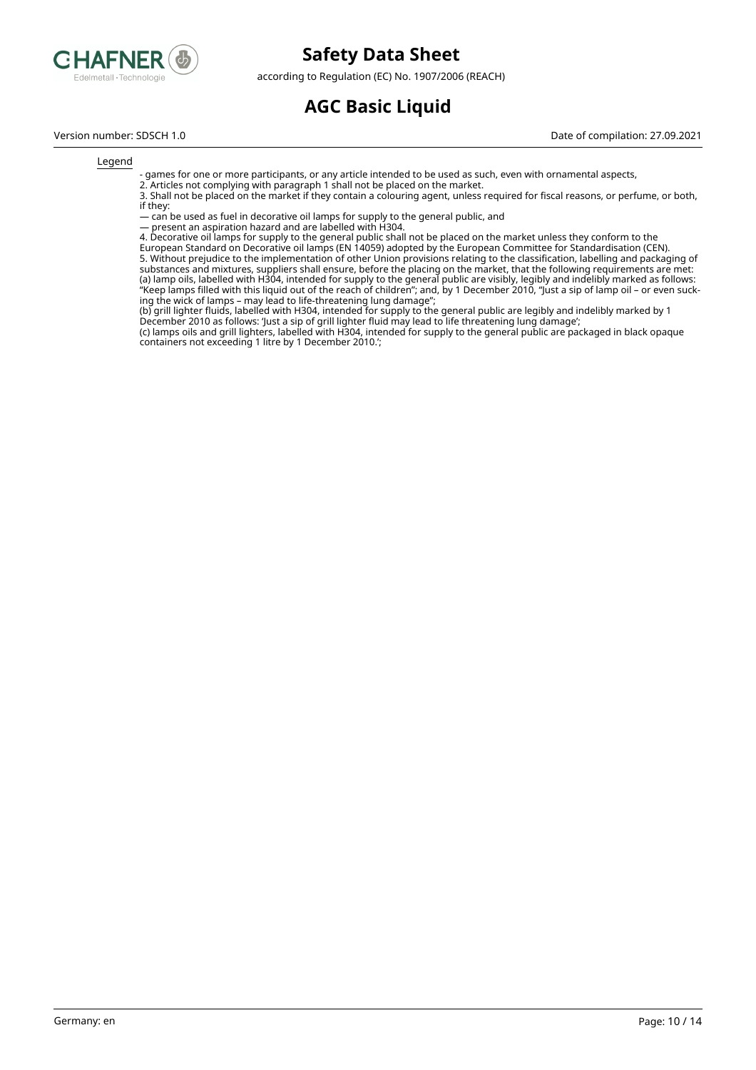

according to Regulation (EC) No. 1907/2006 (REACH)

# **AGC Basic Liquid**

#### Version number: SDSCH 1.0 Date of compilation: 27.09.2021

#### Legend

- games for one or more participants, or any article intended to be used as such, even with ornamental aspects,

2. Articles not complying with paragraph 1 shall not be placed on the market.

3. Shall not be placed on the market if they contain a colouring agent, unless required for fiscal reasons, or perfume, or both, if they:

— can be used as fuel in decorative oil lamps for supply to the general public, and

present an aspiration hazard and are labelled with H304.

4. Decorative oil lamps for supply to the general public shall not be placed on the market unless they conform to the European Standard on Decorative oil lamps (EN 14059) adopted by the European Committee for Standardisation (CEN). 5. Without prejudice to the implementation of other Union provisions relating to the classification, labelling and packaging of substances and mixtures, suppliers shall ensure, before the placing on the market, that the following requirements are met: (a) lamp oils, labelled with H304, intended for supply to the general public are visibly, legibly and indelibly marked as follows: "Keep lamps filled with this liquid out of the reach of children"; and, by 1 December 2010, "Just a sip of lamp oil – or even sucking the wick of lamps – may lead to life-threatening lung damage";

(b) grill lighter fluids, labelled with H304, intended for supply to the general public are legibly and indelibly marked by 1 December 2010 as follows: 'Just a sip of grill lighter fluid may lead to life threatening lung damage';

(c) lamps oils and grill lighters, labelled with H304, intended for supply to the general public are packaged in black opaque containers not exceeding 1 litre by 1 December 2010.';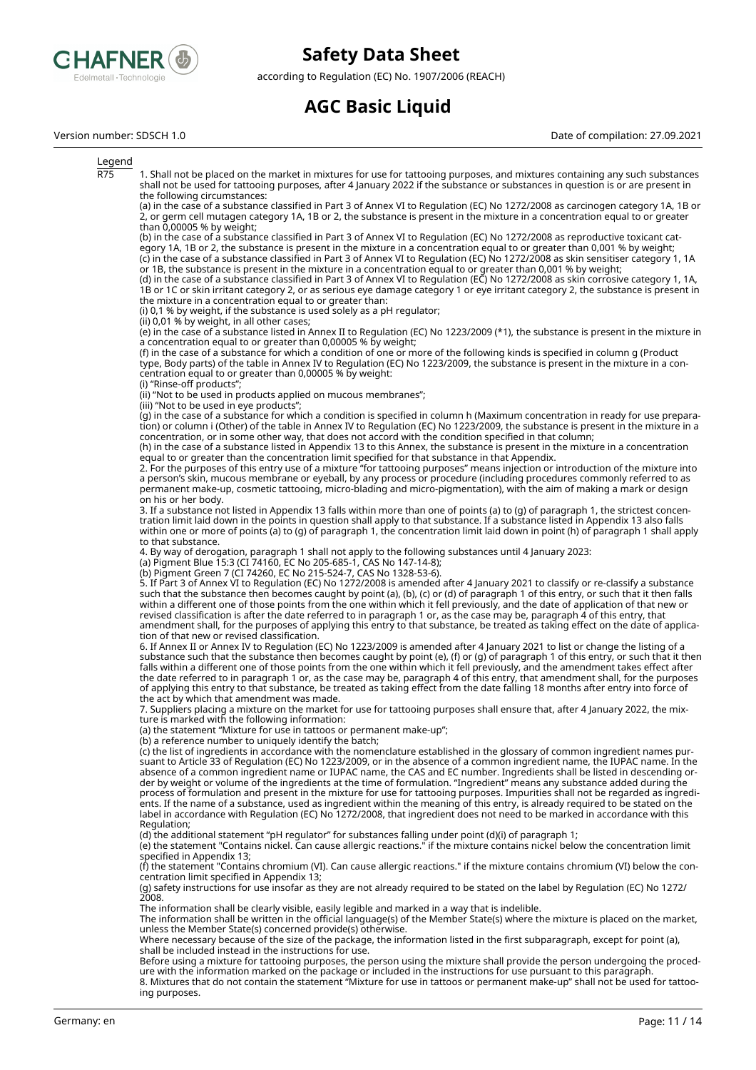

according to Regulation (EC) No. 1907/2006 (REACH)

# **AGC Basic Liquid**

Version number: SDSCH 1.0 Date of compilation: 27.09.2021

Legend

 $\overline{R75}$  1. Shall not be placed on the market in mixtures for use for tattooing purposes, and mixtures containing any such substances shall not be used for tattooing purposes, after 4 January 2022 if the substance or substances in question is or are present in the following circumstances:

(a) in the case of a substance classified in Part 3 of Annex VI to Regulation (EC) No 1272/2008 as carcinogen category 1A, 1B or 2, or germ cell mutagen category 1A, 1B or 2, the substance is present in the mixture in a concentration equal to or greater than 0,00005 % by weight;

(b) in the case of a substance classified in Part 3 of Annex VI to Regulation (EC) No 1272/2008 as reproductive toxicant category 1A, 1B or 2, the substance is present in the mixture in a concentration equal to or greater than 0,001 % by weight; (c) in the case of a substance classified in Part 3 of Annex VI to Regulation (EC) No 1272/2008 as skin sensitiser category 1, 1A

or 1B, the substance is present in the mixture in a concentration equal to or greater than 0,001 % by weight; (d) in the case of a substance classified in Part 3 of Annex VI to Regulation (EC) No 1272/2008 as skin corrosive category 1, 1A, 1B or 1C or skin irritant category 2, or as serious eye damage category 1 or eye irritant category 2, the substance is present in the mixture in a concentration equal to or greater than:

(i) 0,1 % by weight, if the substance is used solely as a pH regulator;

(ii) 0,01 % by weight, in all other cases;

(e) in the case of a substance listed in Annex II to Regulation (EC) No 1223/2009 (\*1), the substance is present in the mixture in a concentration equal to or greater than 0,00005 % by weight;

(f) in the case of a substance for which a condition of one or more of the following kinds is specified in column g (Product type, Body parts) of the table in Annex IV to Regulation (EC) No 1223/2009, the substance is present in the mixture in a concentration equal to or greater than 0,00005 % by weight:

(i) "Rinse-off products";

(ii) "Not to be used in products applied on mucous membranes";

(iii) "Not to be used in eye products";

(g) in the case of a substance for which a condition is specified in column h (Maximum concentration in ready for use preparation) or column i (Other) of the table in Annex IV to Regulation (EC) No 1223/2009, the substance is present in the mixture in a concentration, or in some other way, that does not accord with the condition specified in that column;

(h) in the case of a substance listed in Appendix 13 to this Annex, the substance is present in the mixture in a concentration equal to or greater than the concentration limit specified for that substance in that Appendix.

2. For the purposes of this entry use of a mixture "for tattooing purposes" means injection or introduction of the mixture into a person's skin, mucous membrane or eyeball, by any process or procedure (including procedures commonly referred to as permanent make-up, cosmetic tattooing, micro-blading and micro-pigmentation), with the aim of making a mark or design on his or her body.

3. If a substance not listed in Appendix 13 falls within more than one of points (a) to (g) of paragraph 1, the strictest concentration limit laid down in the points in question shall apply to that substance. If a substance listed in Appendix 13 also falls within one or more of points (a) to (g) of paragraph 1, the concentration limit laid down in point (h) of paragraph 1 shall apply to that substance.

4. By way of derogation, paragraph 1 shall not apply to the following substances until 4 January 2023:

(a) Pigment Blue 15:3 (CI 74160, EC No 205-685-1, CAS No 147-14-8);

(b) Pigment Green 7 (CI 74260, EC No 215-524-7, CAS No 1328-53-6).

5. If Part 3 of Annex VI to Regulation (EC) No 1272/2008 is amended after 4 January 2021 to classify or re-classify a substance such that the substance then becomes caught by point (a), (b), (c) or (d) of paragraph 1 of this entry, or such that it then falls within a different one of those points from the one within which it fell previously, and the date of application of that new or revised classification is after the date referred to in paragraph 1 or, as the case may be, paragraph 4 of this entry, that amendment shall, for the purposes of applying this entry to that substance, be treated as taking effect on the date of application of that new or revised classification.

6. If Annex II or Annex IV to Regulation (EC) No 1223/2009 is amended after 4 January 2021 to list or change the listing of a substance such that the substance then becomes caught by point (e), (f) or (g) of paragraph 1 of this entry, or such that it then falls within a different one of those points from the one within which it fell previously, and the amendment takes effect after the date referred to in paragraph 1 or, as the case may be, paragraph 4 of this entry, that amendment shall, for the purposes of applying this entry to that substance, be treated as taking effect from the date falling 18 months after entry into force of the act by which that amendment was made.

7. Suppliers placing a mixture on the market for use for tattooing purposes shall ensure that, after 4 January 2022, the mixture is marked with the following information:

(a) the statement "Mixture for use in tattoos or permanent make-up";

(b) a reference number to uniquely identify the batch;

(c) the list of ingredients in accordance with the nomenclature established in the glossary of common ingredient names pursuant to Article 33 of Regulation (EC) No 1223/2009, or in the absence of a common ingredient name, the IUPAC name. In the absence of a common ingredient name or IUPAC name, the CAS and EC number. Ingredients shall be listed in descending order by weight or volume of the ingredients at the time of formulation. "Ingredient" means any substance added during the process of formulation and present in the mixture for use for tattooing purposes. Impurities shall not be regarded as ingredients. If the name of a substance, used as ingredient within the meaning of this entry, is already required to be stated on the label in accordance with Regulation (EC) No 1272/2008, that ingredient does not need to be marked in accordance with this Regulation;

(d) the additional statement "pH regulator" for substances falling under point (d)(i) of paragraph 1;

(e) the statement "Contains nickel. Can cause allergic reactions." if the mixture contains nickel below the concentration limit specified in Appendix 13;

(f) the statement "Contains chromium (VI). Can cause allergic reactions." if the mixture contains chromium (VI) below the concentration limit specified in Appendix 13;

(g) safety instructions for use insofar as they are not already required to be stated on the label by Regulation (EC) No 1272/ 2008.

The information shall be clearly visible, easily legible and marked in a way that is indelible.

The information shall be written in the official language(s) of the Member State(s) where the mixture is placed on the market, unless the Member State(s) concerned provide(s) otherwise.

Where necessary because of the size of the package, the information listed in the first subparagraph, except for point (a), shall be included instead in the instructions for use.

Before using a mixture for tattooing purposes, the person using the mixture shall provide the person undergoing the procedure with the information marked on the package or included in the instructions for use pursuant to this paragraph. 8. Mixtures that do not contain the statement "Mixture for use in tattoos or permanent make-up" shall not be used for tattooing purposes.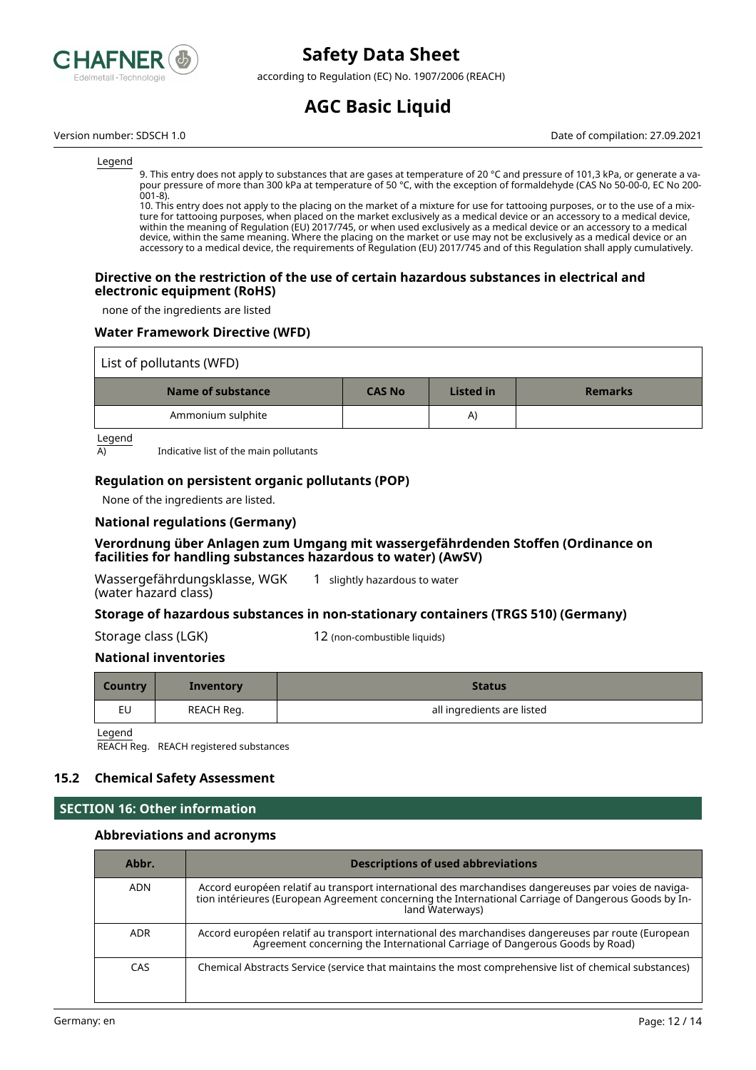

according to Regulation (EC) No. 1907/2006 (REACH)

# **AGC Basic Liquid**

Version number: SDSCH 1.0 Date of compilation: 27.09.2021

Legend

9. This entry does not apply to substances that are gases at temperature of 20 °C and pressure of 101,3 kPa, or generate a vapour pressure of more than 300 kPa at temperature of 50 °C, with the exception of formaldehyde (CAS No 50-00-0, EC No 200- 001-8).

10. This entry does not apply to the placing on the market of a mixture for use for tattooing purposes, or to the use of a mixture for tattooing purposes, when placed on the market exclusively as a medical device or an accessory to a medical device, within the meaning of Regulation (EU) 2017/745, or when used exclusively as a medical device or an accessory to a medical device, within the same meaning. Where the placing on the market or use may not be exclusively as a medical device or an accessory to a medical device, the requirements of Regulation (EU) 2017/745 and of this Regulation shall apply cumulatively.

#### **Directive on the restriction of the use of certain hazardous substances in electrical and electronic equipment (RoHS)**

none of the ingredients are listed

#### **Water Framework Directive (WFD)**

| List of pollutants (WFD) |               |                  |                |
|--------------------------|---------------|------------------|----------------|
| Name of substance        | <b>CAS No</b> | <b>Listed</b> in | <b>Remarks</b> |
| Ammonium sulphite        |               | A)               |                |

Legend

 $\overline{A}$  Indicative list of the main pollutants

#### **Regulation on persistent organic pollutants (POP)**

None of the ingredients are listed.

#### **National regulations (Germany)**

#### **Verordnung über Anlagen zum Umgang mit wassergefährdenden Stoffen (Ordinance on facilities for handling substances hazardous to water) (AwSV)**

Wassergefährdungsklasse, WGK (water hazard class) 1 slightly hazardous to water

**Storage of hazardous substances in non-stationary containers (TRGS 510) (Germany)**

Storage class (LGK) 12 (non-combustible liquids)

### **National inventories**

| Country | Inventory  | <b>Status</b>              |
|---------|------------|----------------------------|
| EU      | REACH Reg. | all ingredients are listed |

Legend

REACH Reg. REACH registered substances

### **15.2 Chemical Safety Assessment**

#### **SECTION 16: Other information**

#### **Abbreviations and acronyms**

| Abbr.      | <b>Descriptions of used abbreviations</b>                                                                                                                                                                                       |
|------------|---------------------------------------------------------------------------------------------------------------------------------------------------------------------------------------------------------------------------------|
| <b>ADN</b> | Accord européen relatif au transport international des marchandises dangereuses par voies de naviga-<br>tion intérieures (European Agreement concerning the International Carriage of Dangerous Goods by In-<br>land Waterways) |
| <b>ADR</b> | Accord européen relatif au transport international des marchandises dangereuses par route (European<br>Agreement concerning the International Carriage of Dangerous Goods by Road)                                              |
| <b>CAS</b> | Chemical Abstracts Service (service that maintains the most comprehensive list of chemical substances)                                                                                                                          |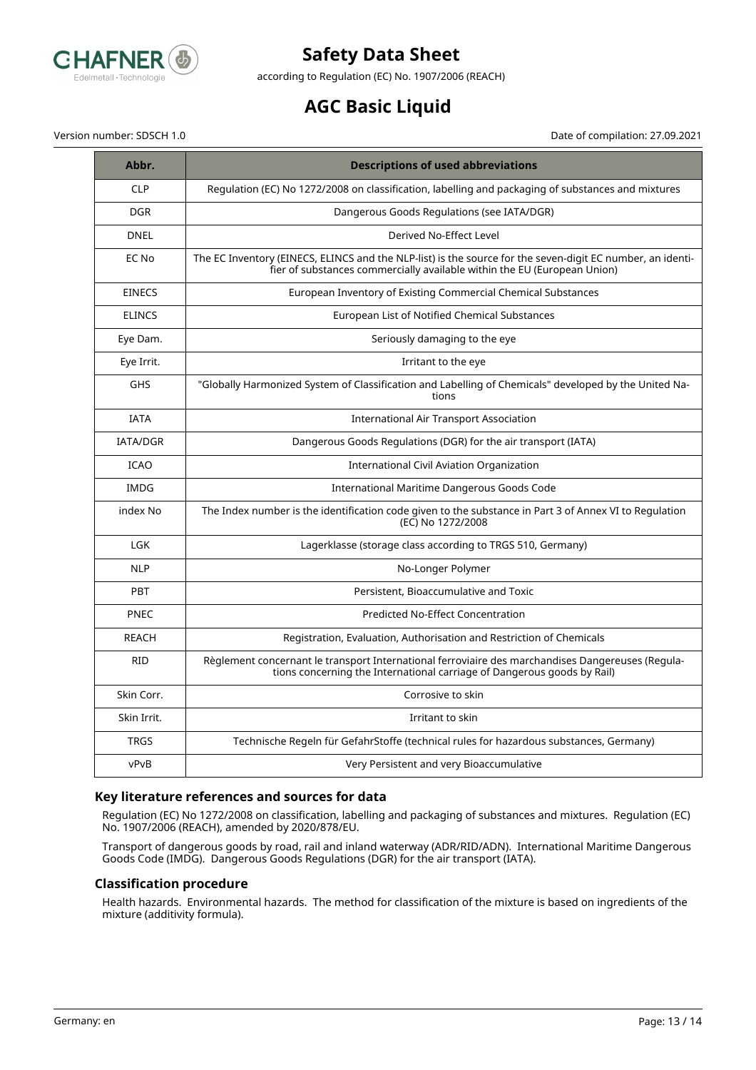

according to Regulation (EC) No. 1907/2006 (REACH)

# **AGC Basic Liquid**

Version number: SDSCH 1.0 Date of compilation: 27.09.2021

| Abbr.           | <b>Descriptions of used abbreviations</b>                                                                                                                                              |
|-----------------|----------------------------------------------------------------------------------------------------------------------------------------------------------------------------------------|
| <b>CLP</b>      | Regulation (EC) No 1272/2008 on classification, labelling and packaging of substances and mixtures                                                                                     |
| <b>DGR</b>      | Dangerous Goods Regulations (see IATA/DGR)                                                                                                                                             |
| <b>DNEL</b>     | Derived No-Effect Level                                                                                                                                                                |
| EC No           | The EC Inventory (EINECS, ELINCS and the NLP-list) is the source for the seven-digit EC number, an identi-<br>fier of substances commercially available within the EU (European Union) |
| <b>EINECS</b>   | European Inventory of Existing Commercial Chemical Substances                                                                                                                          |
| <b>ELINCS</b>   | European List of Notified Chemical Substances                                                                                                                                          |
| Eye Dam.        | Seriously damaging to the eye                                                                                                                                                          |
| Eye Irrit.      | Irritant to the eye                                                                                                                                                                    |
| <b>GHS</b>      | "Globally Harmonized System of Classification and Labelling of Chemicals" developed by the United Na-<br>tions                                                                         |
| <b>IATA</b>     | <b>International Air Transport Association</b>                                                                                                                                         |
| <b>IATA/DGR</b> | Dangerous Goods Regulations (DGR) for the air transport (IATA)                                                                                                                         |
| ICAO            | International Civil Aviation Organization                                                                                                                                              |
| <b>IMDG</b>     | International Maritime Dangerous Goods Code                                                                                                                                            |
| index No        | The Index number is the identification code given to the substance in Part 3 of Annex VI to Regulation<br>(EC) No 1272/2008                                                            |
| <b>LGK</b>      | Lagerklasse (storage class according to TRGS 510, Germany)                                                                                                                             |
| <b>NLP</b>      | No-Longer Polymer                                                                                                                                                                      |
| PBT             | Persistent, Bioaccumulative and Toxic                                                                                                                                                  |
| <b>PNEC</b>     | <b>Predicted No-Effect Concentration</b>                                                                                                                                               |
| <b>REACH</b>    | Registration, Evaluation, Authorisation and Restriction of Chemicals                                                                                                                   |
| <b>RID</b>      | Règlement concernant le transport International ferroviaire des marchandises Dangereuses (Regula-<br>tions concerning the International carriage of Dangerous goods by Rail)           |
| Skin Corr.      | Corrosive to skin                                                                                                                                                                      |
| Skin Irrit.     | Irritant to skin                                                                                                                                                                       |
| <b>TRGS</b>     | Technische Regeln für GefahrStoffe (technical rules for hazardous substances, Germany)                                                                                                 |
| vPvB            | Very Persistent and very Bioaccumulative                                                                                                                                               |

### **Key literature references and sources for data**

Regulation (EC) No 1272/2008 on classification, labelling and packaging of substances and mixtures. Regulation (EC) No. 1907/2006 (REACH), amended by 2020/878/EU.

Transport of dangerous goods by road, rail and inland waterway (ADR/RID/ADN). International Maritime Dangerous Goods Code (IMDG). Dangerous Goods Regulations (DGR) for the air transport (IATA).

### **Classification procedure**

Health hazards. Environmental hazards. The method for classification of the mixture is based on ingredients of the mixture (additivity formula).